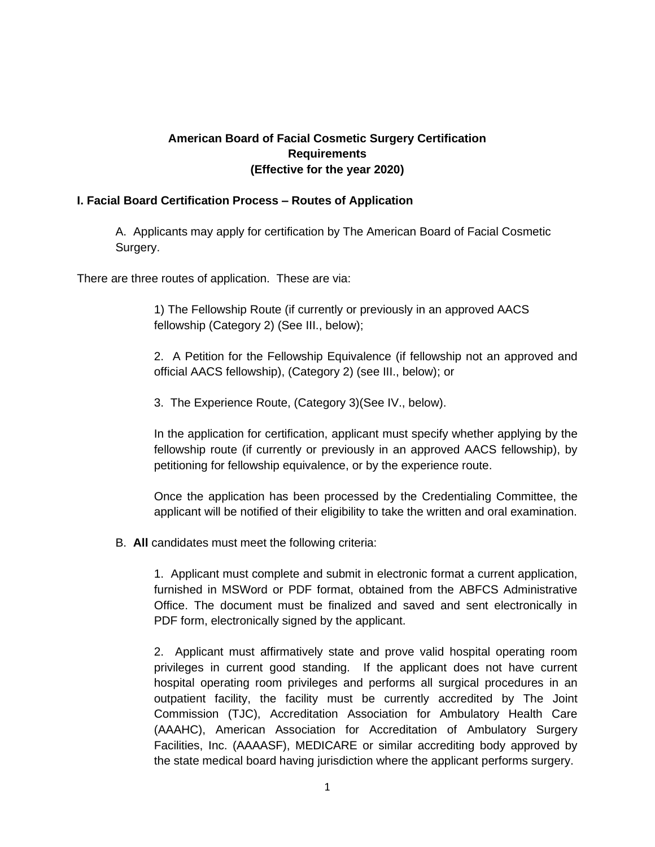# **American Board of Facial Cosmetic Surgery Certification Requirements (Effective for the year 2020)**

## **I. Facial Board Certification Process – Routes of Application**

A. Applicants may apply for certification by The American Board of Facial Cosmetic Surgery.

There are three routes of application. These are via:

1) The Fellowship Route (if currently or previously in an approved AACS fellowship (Category 2) (See III., below);

2. A Petition for the Fellowship Equivalence (if fellowship not an approved and official AACS fellowship), (Category 2) (see III., below); or

3. The Experience Route, (Category 3)(See IV., below).

In the application for certification, applicant must specify whether applying by the fellowship route (if currently or previously in an approved AACS fellowship), by petitioning for fellowship equivalence, or by the experience route.

Once the application has been processed by the Credentialing Committee, the applicant will be notified of their eligibility to take the written and oral examination.

B. **All** candidates must meet the following criteria:

1. Applicant must complete and submit in electronic format a current application, furnished in MSWord or PDF format, obtained from the ABFCS Administrative Office. The document must be finalized and saved and sent electronically in PDF form, electronically signed by the applicant.

2. Applicant must affirmatively state and prove valid hospital operating room privileges in current good standing. If the applicant does not have current hospital operating room privileges and performs all surgical procedures in an outpatient facility, the facility must be currently accredited by The Joint Commission (TJC), Accreditation Association for Ambulatory Health Care (AAAHC), American Association for Accreditation of Ambulatory Surgery Facilities, Inc. (AAAASF), MEDICARE or similar accrediting body approved by the state medical board having jurisdiction where the applicant performs surgery.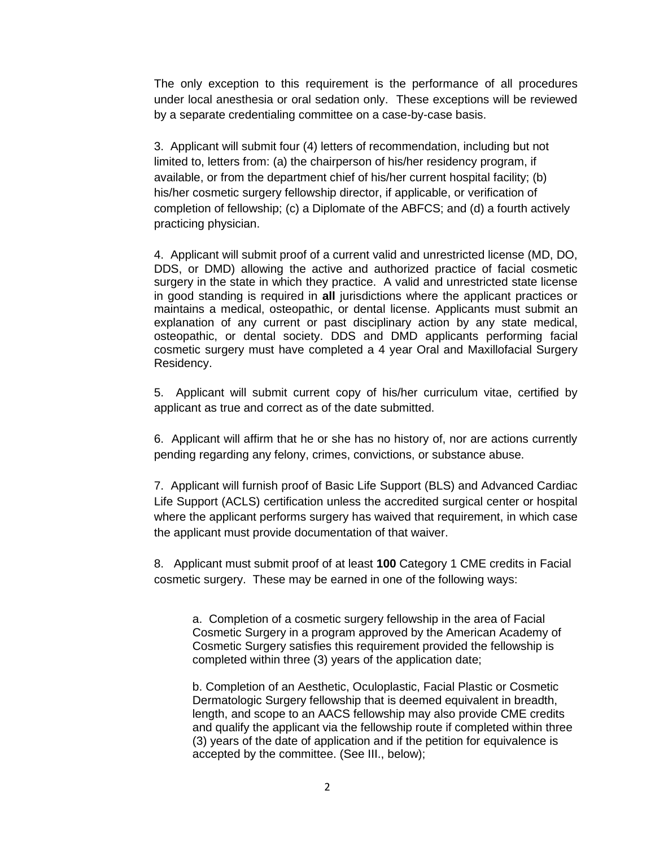The only exception to this requirement is the performance of all procedures under local anesthesia or oral sedation only. These exceptions will be reviewed by a separate credentialing committee on a case-by-case basis.

3. Applicant will submit four (4) letters of recommendation, including but not limited to, letters from: (a) the chairperson of his/her residency program, if available, or from the department chief of his/her current hospital facility; (b) his/her cosmetic surgery fellowship director, if applicable, or verification of completion of fellowship; (c) a Diplomate of the ABFCS; and (d) a fourth actively practicing physician.

4. Applicant will submit proof of a current valid and unrestricted license (MD, DO, DDS, or DMD) allowing the active and authorized practice of facial cosmetic surgery in the state in which they practice. A valid and unrestricted state license in good standing is required in **all** jurisdictions where the applicant practices or maintains a medical, osteopathic, or dental license. Applicants must submit an explanation of any current or past disciplinary action by any state medical, osteopathic, or dental society. DDS and DMD applicants performing facial cosmetic surgery must have completed a 4 year Oral and Maxillofacial Surgery Residency.

5. Applicant will submit current copy of his/her curriculum vitae, certified by applicant as true and correct as of the date submitted.

6. Applicant will affirm that he or she has no history of, nor are actions currently pending regarding any felony, crimes, convictions, or substance abuse.

7. Applicant will furnish proof of Basic Life Support (BLS) and Advanced Cardiac Life Support (ACLS) certification unless the accredited surgical center or hospital where the applicant performs surgery has waived that requirement, in which case the applicant must provide documentation of that waiver.

8. Applicant must submit proof of at least **100** Category 1 CME credits in Facial cosmetic surgery. These may be earned in one of the following ways:

a. Completion of a cosmetic surgery fellowship in the area of Facial Cosmetic Surgery in a program approved by the American Academy of Cosmetic Surgery satisfies this requirement provided the fellowship is completed within three (3) years of the application date;

b. Completion of an Aesthetic, Oculoplastic, Facial Plastic or Cosmetic Dermatologic Surgery fellowship that is deemed equivalent in breadth, length, and scope to an AACS fellowship may also provide CME credits and qualify the applicant via the fellowship route if completed within three (3) years of the date of application and if the petition for equivalence is accepted by the committee. (See III., below);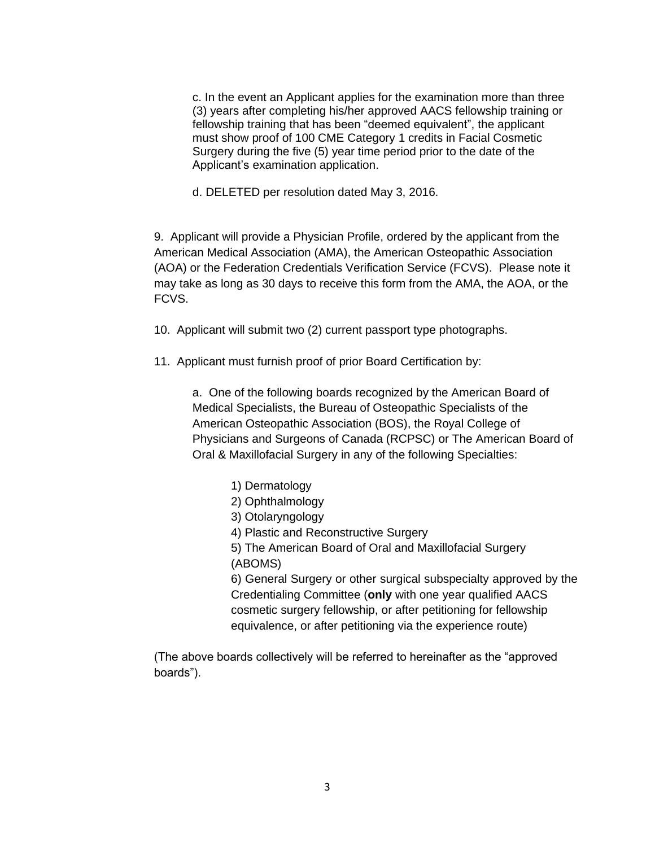c. In the event an Applicant applies for the examination more than three (3) years after completing his/her approved AACS fellowship training or fellowship training that has been "deemed equivalent", the applicant must show proof of 100 CME Category 1 credits in Facial Cosmetic Surgery during the five (5) year time period prior to the date of the Applicant's examination application.

d. DELETED per resolution dated May 3, 2016.

9. Applicant will provide a Physician Profile, ordered by the applicant from the American Medical Association (AMA), the American Osteopathic Association (AOA) or the Federation Credentials Verification Service (FCVS). Please note it may take as long as 30 days to receive this form from the AMA, the AOA, or the FCVS.

10. Applicant will submit two (2) current passport type photographs.

11. Applicant must furnish proof of prior Board Certification by:

a. One of the following boards recognized by the American Board of Medical Specialists, the Bureau of Osteopathic Specialists of the American Osteopathic Association (BOS), the Royal College of Physicians and Surgeons of Canada (RCPSC) or The American Board of Oral & Maxillofacial Surgery in any of the following Specialties:

- 1) Dermatology
- 2) Ophthalmology
- 3) Otolaryngology
- 4) Plastic and Reconstructive Surgery
- 5) The American Board of Oral and Maxillofacial Surgery (ABOMS)

6) General Surgery or other surgical subspecialty approved by the Credentialing Committee (**only** with one year qualified AACS cosmetic surgery fellowship, or after petitioning for fellowship equivalence, or after petitioning via the experience route)

(The above boards collectively will be referred to hereinafter as the "approved boards").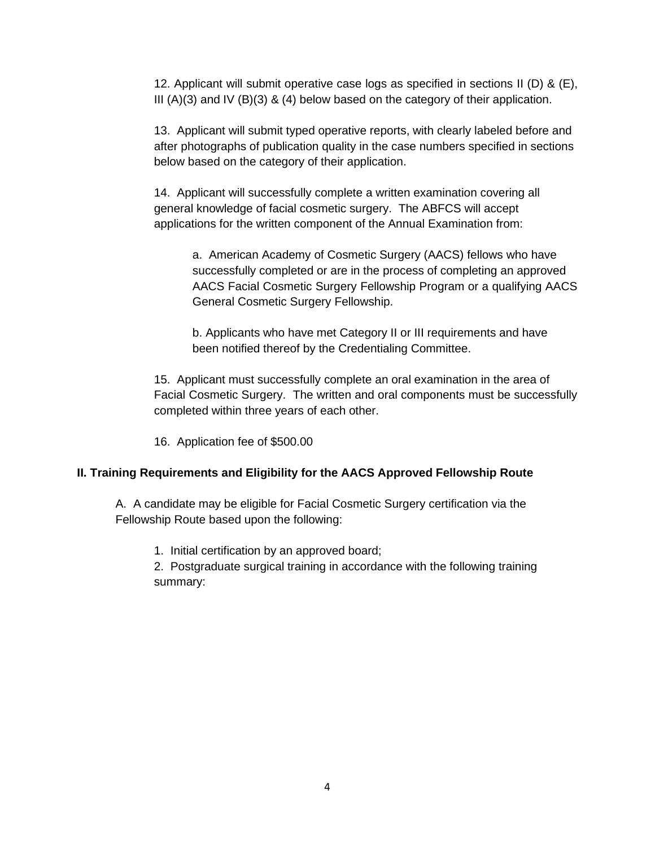12. Applicant will submit operative case logs as specified in sections II (D) & (E), III (A)(3) and IV (B)(3) & (4) below based on the category of their application.

13. Applicant will submit typed operative reports, with clearly labeled before and after photographs of publication quality in the case numbers specified in sections below based on the category of their application.

14. Applicant will successfully complete a written examination covering all general knowledge of facial cosmetic surgery. The ABFCS will accept applications for the written component of the Annual Examination from:

a. American Academy of Cosmetic Surgery (AACS) fellows who have successfully completed or are in the process of completing an approved AACS Facial Cosmetic Surgery Fellowship Program or a qualifying AACS General Cosmetic Surgery Fellowship.

b. Applicants who have met Category II or III requirements and have been notified thereof by the Credentialing Committee.

15. Applicant must successfully complete an oral examination in the area of Facial Cosmetic Surgery. The written and oral components must be successfully completed within three years of each other.

16. Application fee of \$500.00

# **II. Training Requirements and Eligibility for the AACS Approved Fellowship Route**

A. A candidate may be eligible for Facial Cosmetic Surgery certification via the Fellowship Route based upon the following:

1. Initial certification by an approved board;

2. Postgraduate surgical training in accordance with the following training summary: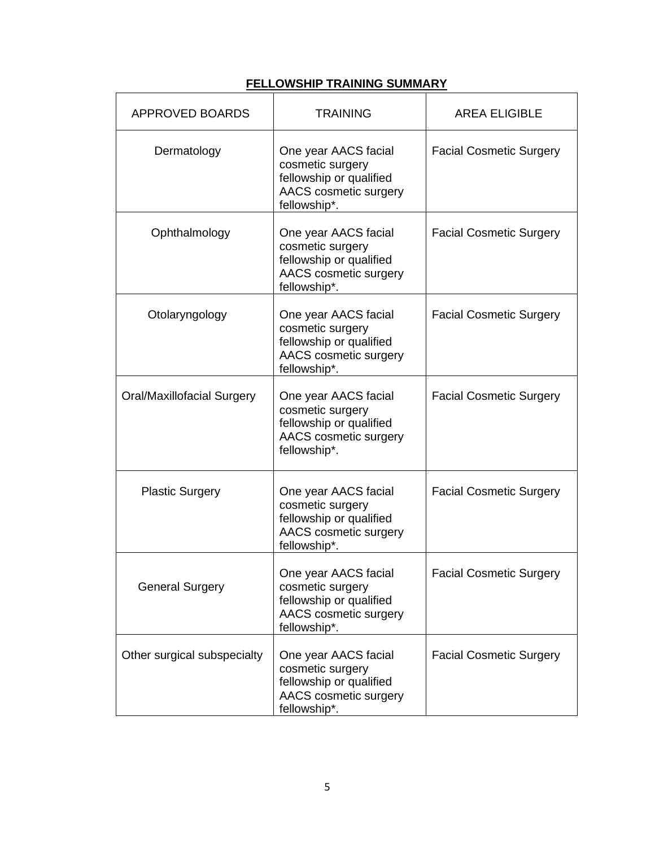# **FELLOWSHIP TRAINING SUMMARY**

| <b>APPROVED BOARDS</b>            | <b>TRAINING</b>                                                                                              | <b>AREA ELIGIBLE</b>           |
|-----------------------------------|--------------------------------------------------------------------------------------------------------------|--------------------------------|
| Dermatology                       | One year AACS facial<br>cosmetic surgery<br>fellowship or qualified<br>AACS cosmetic surgery<br>fellowship*. | <b>Facial Cosmetic Surgery</b> |
| Ophthalmology                     | One year AACS facial<br>cosmetic surgery<br>fellowship or qualified<br>AACS cosmetic surgery<br>fellowship*. | <b>Facial Cosmetic Surgery</b> |
| Otolaryngology                    | One year AACS facial<br>cosmetic surgery<br>fellowship or qualified<br>AACS cosmetic surgery<br>fellowship*. | <b>Facial Cosmetic Surgery</b> |
| <b>Oral/Maxillofacial Surgery</b> | One year AACS facial<br>cosmetic surgery<br>fellowship or qualified<br>AACS cosmetic surgery<br>fellowship*. | <b>Facial Cosmetic Surgery</b> |
| <b>Plastic Surgery</b>            | One year AACS facial<br>cosmetic surgery<br>fellowship or qualified<br>AACS cosmetic surgery<br>fellowship*. | <b>Facial Cosmetic Surgery</b> |
| <b>General Surgery</b>            | One year AACS facial<br>cosmetic surgery<br>fellowship or qualified<br>AACS cosmetic surgery<br>fellowship*. | <b>Facial Cosmetic Surgery</b> |
| Other surgical subspecialty       | One year AACS facial<br>cosmetic surgery<br>fellowship or qualified<br>AACS cosmetic surgery<br>fellowship*. | <b>Facial Cosmetic Surgery</b> |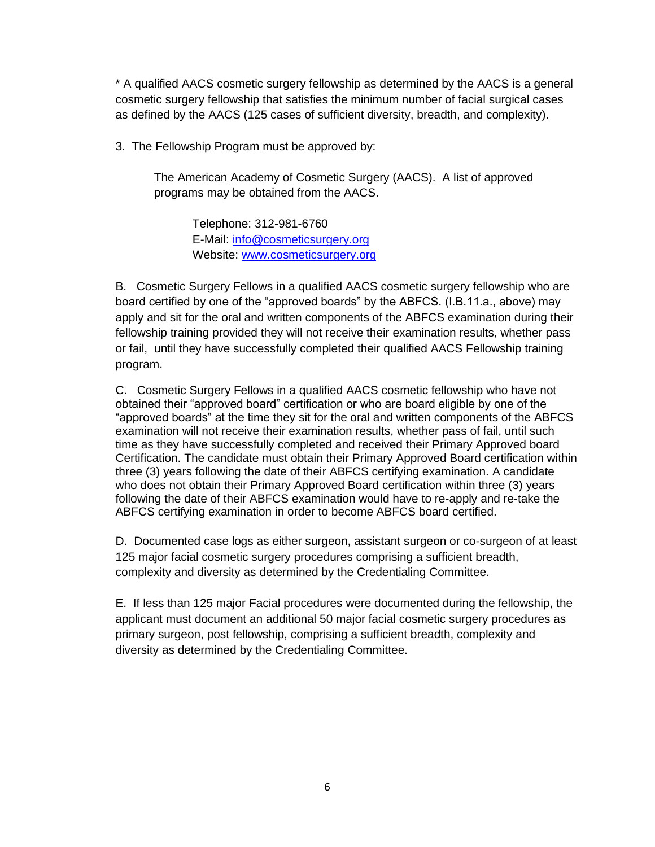\* A qualified AACS cosmetic surgery fellowship as determined by the AACS is a general cosmetic surgery fellowship that satisfies the minimum number of facial surgical cases as defined by the AACS (125 cases of sufficient diversity, breadth, and complexity).

3. The Fellowship Program must be approved by:

The American Academy of Cosmetic Surgery (AACS). A list of approved programs may be obtained from the AACS.

Telephone: 312-981-6760 E-Mail: [info@cosmeticsurgery.org](mailto:info@cosmeticsurgery.org) Website: [www.cosmeticsurgery.org](http://www.cosmeticsurgery.org/)

B. Cosmetic Surgery Fellows in a qualified AACS cosmetic surgery fellowship who are board certified by one of the "approved boards" by the ABFCS. (I.B.11.a., above) may apply and sit for the oral and written components of the ABFCS examination during their fellowship training provided they will not receive their examination results, whether pass or fail, until they have successfully completed their qualified AACS Fellowship training program.

C. Cosmetic Surgery Fellows in a qualified AACS cosmetic fellowship who have not obtained their "approved board" certification or who are board eligible by one of the "approved boards" at the time they sit for the oral and written components of the ABFCS examination will not receive their examination results, whether pass of fail, until such time as they have successfully completed and received their Primary Approved board Certification. The candidate must obtain their Primary Approved Board certification within three (3) years following the date of their ABFCS certifying examination. A candidate who does not obtain their Primary Approved Board certification within three (3) years following the date of their ABFCS examination would have to re-apply and re-take the ABFCS certifying examination in order to become ABFCS board certified.

D. Documented case logs as either surgeon, assistant surgeon or co-surgeon of at least 125 major facial cosmetic surgery procedures comprising a sufficient breadth, complexity and diversity as determined by the Credentialing Committee.

E. If less than 125 major Facial procedures were documented during the fellowship, the applicant must document an additional 50 major facial cosmetic surgery procedures as primary surgeon, post fellowship, comprising a sufficient breadth, complexity and diversity as determined by the Credentialing Committee.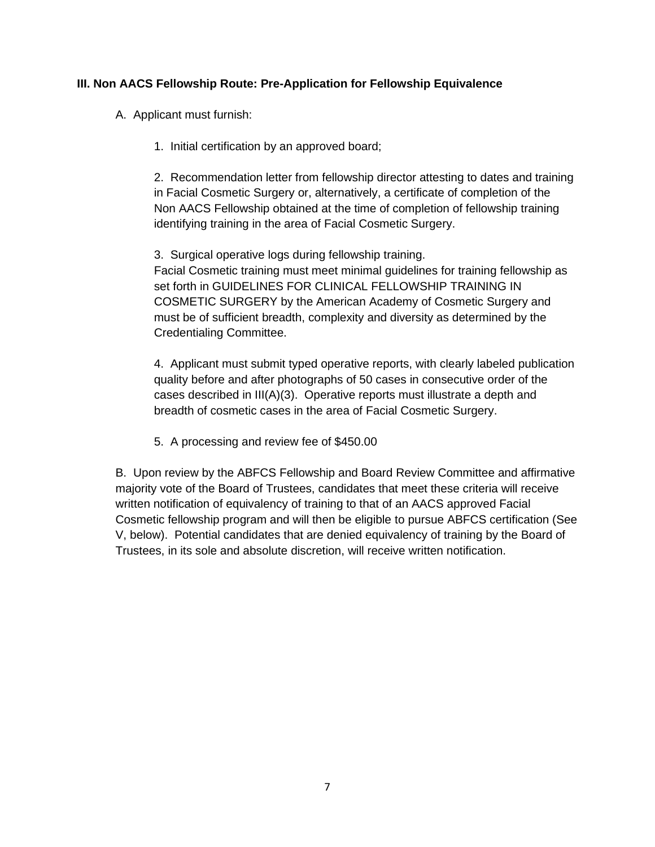# **III. Non AACS Fellowship Route: Pre-Application for Fellowship Equivalence**

A. Applicant must furnish:

1. Initial certification by an approved board;

2. Recommendation letter from fellowship director attesting to dates and training in Facial Cosmetic Surgery or, alternatively, a certificate of completion of the Non AACS Fellowship obtained at the time of completion of fellowship training identifying training in the area of Facial Cosmetic Surgery.

3. Surgical operative logs during fellowship training. Facial Cosmetic training must meet minimal guidelines for training fellowship as set forth in GUIDELINES FOR CLINICAL FELLOWSHIP TRAINING IN COSMETIC SURGERY by the American Academy of Cosmetic Surgery and must be of sufficient breadth, complexity and diversity as determined by the Credentialing Committee.

4. Applicant must submit typed operative reports, with clearly labeled publication quality before and after photographs of 50 cases in consecutive order of the cases described in III(A)(3). Operative reports must illustrate a depth and breadth of cosmetic cases in the area of Facial Cosmetic Surgery.

5. A processing and review fee of \$450.00

B. Upon review by the ABFCS Fellowship and Board Review Committee and affirmative majority vote of the Board of Trustees, candidates that meet these criteria will receive written notification of equivalency of training to that of an AACS approved Facial Cosmetic fellowship program and will then be eligible to pursue ABFCS certification (See V, below). Potential candidates that are denied equivalency of training by the Board of Trustees, in its sole and absolute discretion, will receive written notification.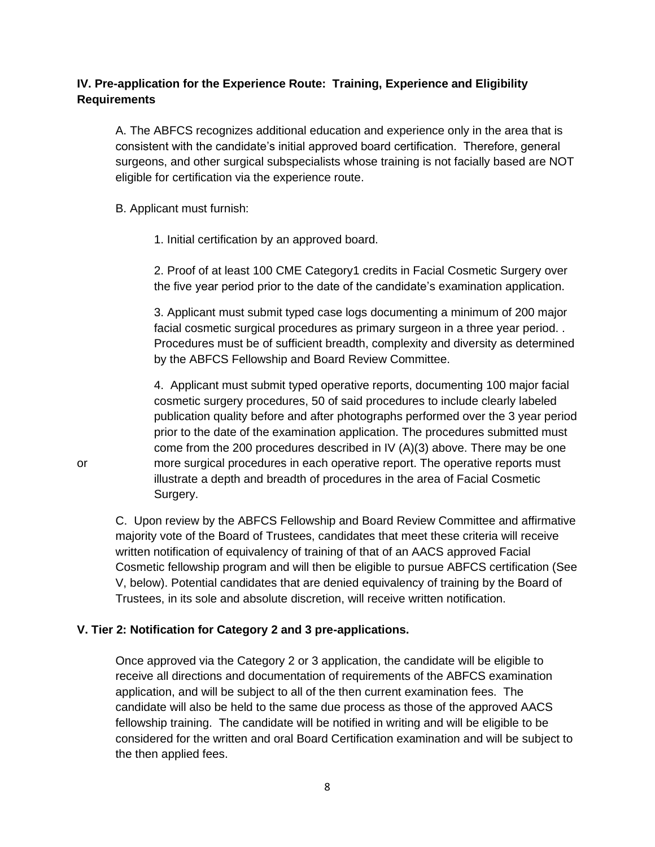# **IV. Pre-application for the Experience Route: Training, Experience and Eligibility Requirements**

A. The ABFCS recognizes additional education and experience only in the area that is consistent with the candidate's initial approved board certification. Therefore, general surgeons, and other surgical subspecialists whose training is not facially based are NOT eligible for certification via the experience route.

#### B. Applicant must furnish:

1. Initial certification by an approved board.

2. Proof of at least 100 CME Category1 credits in Facial Cosmetic Surgery over the five year period prior to the date of the candidate's examination application.

3. Applicant must submit typed case logs documenting a minimum of 200 major facial cosmetic surgical procedures as primary surgeon in a three year period. . Procedures must be of sufficient breadth, complexity and diversity as determined by the ABFCS Fellowship and Board Review Committee.

4. Applicant must submit typed operative reports, documenting 100 major facial cosmetic surgery procedures, 50 of said procedures to include clearly labeled publication quality before and after photographs performed over the 3 year period prior to the date of the examination application. The procedures submitted must come from the 200 procedures described in IV (A)(3) above. There may be one or more surgical procedures in each operative report. The operative reports must illustrate a depth and breadth of procedures in the area of Facial Cosmetic Surgery.

C. Upon review by the ABFCS Fellowship and Board Review Committee and affirmative majority vote of the Board of Trustees, candidates that meet these criteria will receive written notification of equivalency of training of that of an AACS approved Facial Cosmetic fellowship program and will then be eligible to pursue ABFCS certification (See V, below). Potential candidates that are denied equivalency of training by the Board of Trustees, in its sole and absolute discretion, will receive written notification.

## **V. Tier 2: Notification for Category 2 and 3 pre-applications.**

Once approved via the Category 2 or 3 application, the candidate will be eligible to receive all directions and documentation of requirements of the ABFCS examination application, and will be subject to all of the then current examination fees. The candidate will also be held to the same due process as those of the approved AACS fellowship training. The candidate will be notified in writing and will be eligible to be considered for the written and oral Board Certification examination and will be subject to the then applied fees.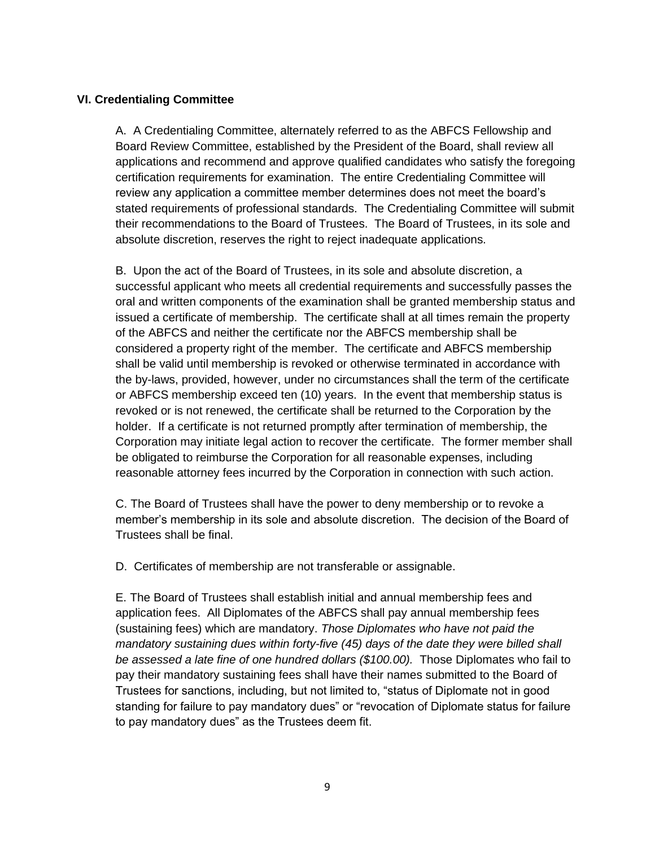## **VI. Credentialing Committee**

A. A Credentialing Committee, alternately referred to as the ABFCS Fellowship and Board Review Committee, established by the President of the Board, shall review all applications and recommend and approve qualified candidates who satisfy the foregoing certification requirements for examination. The entire Credentialing Committee will review any application a committee member determines does not meet the board's stated requirements of professional standards. The Credentialing Committee will submit their recommendations to the Board of Trustees. The Board of Trustees, in its sole and absolute discretion, reserves the right to reject inadequate applications.

B. Upon the act of the Board of Trustees, in its sole and absolute discretion, a successful applicant who meets all credential requirements and successfully passes the oral and written components of the examination shall be granted membership status and issued a certificate of membership. The certificate shall at all times remain the property of the ABFCS and neither the certificate nor the ABFCS membership shall be considered a property right of the member. The certificate and ABFCS membership shall be valid until membership is revoked or otherwise terminated in accordance with the by-laws, provided, however, under no circumstances shall the term of the certificate or ABFCS membership exceed ten (10) years. In the event that membership status is revoked or is not renewed, the certificate shall be returned to the Corporation by the holder. If a certificate is not returned promptly after termination of membership, the Corporation may initiate legal action to recover the certificate. The former member shall be obligated to reimburse the Corporation for all reasonable expenses, including reasonable attorney fees incurred by the Corporation in connection with such action.

C. The Board of Trustees shall have the power to deny membership or to revoke a member's membership in its sole and absolute discretion. The decision of the Board of Trustees shall be final.

D. Certificates of membership are not transferable or assignable.

E. The Board of Trustees shall establish initial and annual membership fees and application fees. All Diplomates of the ABFCS shall pay annual membership fees (sustaining fees) which are mandatory. *Those Diplomates who have not paid the mandatory sustaining dues within forty-five (45) days of the date they were billed shall*  be assessed a late fine of one hundred dollars (\$100.00). Those Diplomates who fail to pay their mandatory sustaining fees shall have their names submitted to the Board of Trustees for sanctions, including, but not limited to, "status of Diplomate not in good standing for failure to pay mandatory dues" or "revocation of Diplomate status for failure to pay mandatory dues" as the Trustees deem fit.